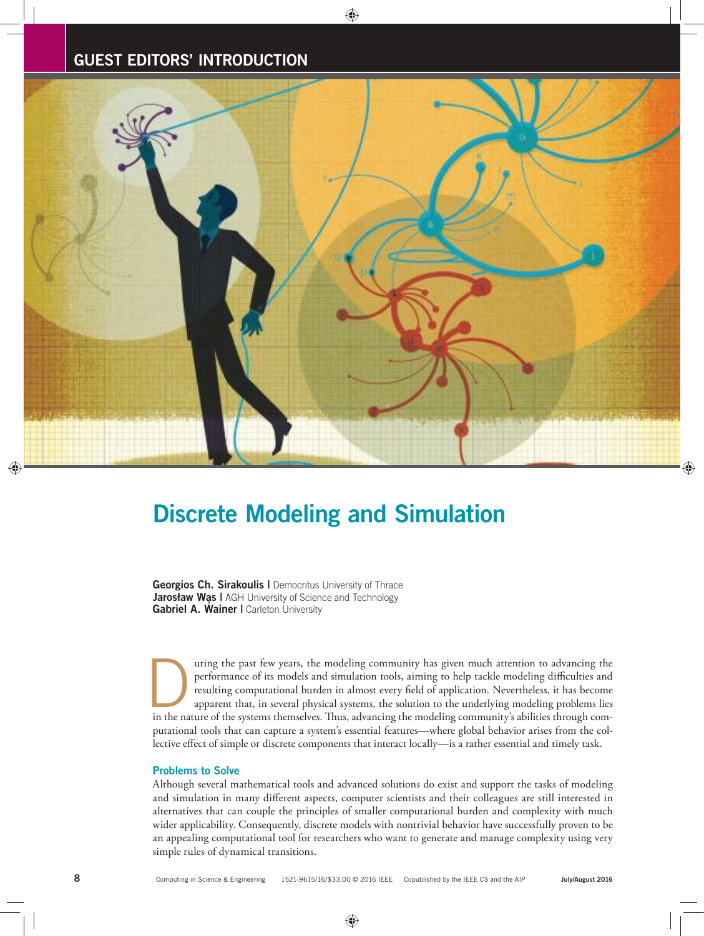### Guest Editors' Introduction



# Discrete Modeling and Simulation

Georgios Ch. Sirakoulis I Democritus University of Thrace Jarosław Was | AGH University of Science and Technology **Gabriel A. Wainer I** Carleton University

uring the past few years, the modeling community has given much attention to advancing the performance of its models and simulation tools, aiming to help tackle modeling difficulties and resulting computational burden in almost every field of application. Nevertheless, it has become apparent that, in several physical systems, the solution to the underlying modeling problems lies in the nature of the systems themselves. Thus, advancing the modeling community's abilities through computational tools that can capture a system's essential features—where global behavior arises from the collective effect of simple or discrete components that interact locally—is a rather essential and timely task.

#### Problems to Solve

Although several mathematical tools and advanced solutions do exist and support the tasks of modeling and simulation in many different aspects, computer scientists and their colleagues are still interested in alternatives that can couple the principles of smaller computational burden and complexity with much wider applicability. Consequently, discrete models with nontrivial behavior have successfully proven to be an appealing computational tool for researchers who want to generate and manage complexity using very simple rules of dynamical transitions.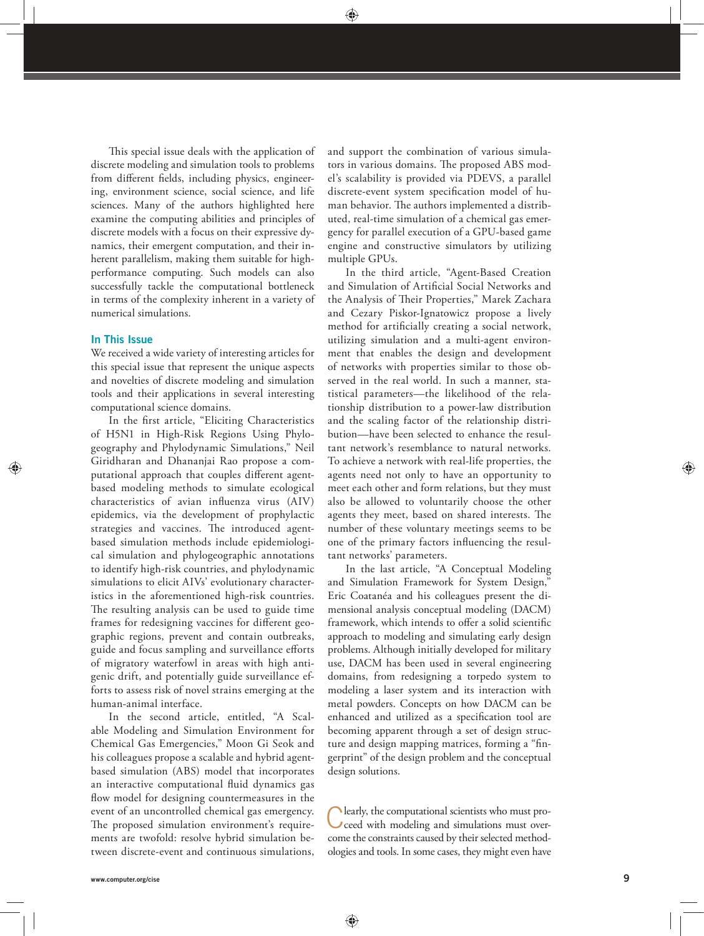This special issue deals with the application of discrete modeling and simulation tools to problems from different fields, including physics, engineering, environment science, social science, and life sciences. Many of the authors highlighted here examine the computing abilities and principles of discrete models with a focus on their expressive dynamics, their emergent computation, and their inherent parallelism, making them suitable for highperformance computing. Such models can also successfully tackle the computational bottleneck in terms of the complexity inherent in a variety of numerical simulations.

#### In This Issue

We received a wide variety of interesting articles for this special issue that represent the unique aspects and novelties of discrete modeling and simulation tools and their applications in several interesting computational science domains.

In the first article, "Eliciting Characteristics of H5N1 in High-Risk Regions Using Phylogeography and Phylodynamic Simulations," Neil Giridharan and Dhananjai Rao propose a computational approach that couples different agentbased modeling methods to simulate ecological characteristics of avian influenza virus (AIV) epidemics, via the development of prophylactic strategies and vaccines. The introduced agentbased simulation methods include epidemiological simulation and phylogeographic annotations to identify high-risk countries, and phylodynamic simulations to elicit AIVs' evolutionary characteristics in the aforementioned high-risk countries. The resulting analysis can be used to guide time frames for redesigning vaccines for different geographic regions, prevent and contain outbreaks, guide and focus sampling and surveillance efforts of migratory waterfowl in areas with high antigenic drift, and potentially guide surveillance efforts to assess risk of novel strains emerging at the human-animal interface.

In the second article, entitled, "A Scalable Modeling and Simulation Environment for Chemical Gas Emergencies," Moon Gi Seok and his colleagues propose a scalable and hybrid agentbased simulation (ABS) model that incorporates an interactive computational fluid dynamics gas flow model for designing countermeasures in the event of an uncontrolled chemical gas emergency. The proposed simulation environment's requirements are twofold: resolve hybrid simulation between discrete-event and continuous simulations,

and support the combination of various simulators in various domains. The proposed ABS model's scalability is provided via PDEVS, a parallel discrete-event system specification model of human behavior. The authors implemented a distributed, real-time simulation of a chemical gas emergency for parallel execution of a GPU-based game engine and constructive simulators by utilizing multiple GPUs.

In the third article, "Agent-Based Creation and Simulation of Artificial Social Networks and the Analysis of Their Properties," Marek Zachara and Cezary Piskor-Ignatowicz propose a lively method for artificially creating a social network, utilizing simulation and a multi-agent environment that enables the design and development of networks with properties similar to those observed in the real world. In such a manner, statistical parameters—the likelihood of the relationship distribution to a power-law distribution and the scaling factor of the relationship distribution—have been selected to enhance the resultant network's resemblance to natural networks. To achieve a network with real-life properties, the agents need not only to have an opportunity to meet each other and form relations, but they must also be allowed to voluntarily choose the other agents they meet, based on shared interests. The number of these voluntary meetings seems to be one of the primary factors influencing the resultant networks' parameters.

In the last article, "A Conceptual Modeling and Simulation Framework for System Design," Eric Coatanéa and his colleagues present the dimensional analysis conceptual modeling (DACM) framework, which intends to offer a solid scientific approach to modeling and simulating early design problems. Although initially developed for military use, DACM has been used in several engineering domains, from redesigning a torpedo system to modeling a laser system and its interaction with metal powders. Concepts on how DACM can be enhanced and utilized as a specification tool are becoming apparent through a set of design structure and design mapping matrices, forming a "fingerprint" of the design problem and the conceptual design solutions.

Clearly, the computational scientists who must pro-ceed with modeling and simulations must overcome the constraints caused by their selected methodologies and tools. In some cases, they might even have